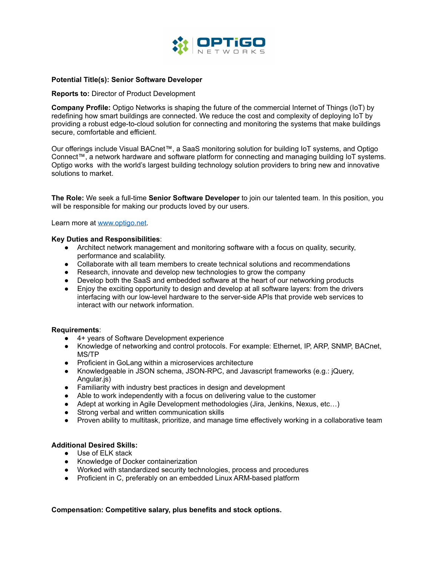

### **Potential Title(s): Senior Software Developer**

#### **Reports to:** Director of Product Development

**Company Profile:** Optigo Networks is shaping the future of the commercial Internet of Things (IoT) by redefining how smart buildings are connected. We reduce the cost and complexity of deploying IoT by providing a robust edge-to-cloud solution for connecting and monitoring the systems that make buildings secure, comfortable and efficient.

Our offerings include Visual BACnet™, a SaaS monitoring solution for building IoT systems, and Optigo Connect™, a network hardware and software platform for connecting and managing building IoT systems. Optigo works with the world's largest building technology solution providers to bring new and innovative solutions to market.

**The Role:** We seek a full-time **Senior Software Developer** to join our talented team. In this position, you will be responsible for making our products loved by our users.

Learn more at [www.optigo.net.](http://www.optigo.net)

#### **Key Duties and Responsibilities**:

- Architect network management and monitoring software with a focus on quality, security, performance and scalability.
- Collaborate with all team members to create technical solutions and recommendations
- Research, innovate and develop new technologies to grow the company
- Develop both the SaaS and embedded software at the heart of our networking products
- Enjoy the exciting opportunity to design and develop at all software layers: from the drivers interfacing with our low-level hardware to the server-side APIs that provide web services to interact with our network information.

### **Requirements**:

- 4+ years of Software Development experience
- Knowledge of networking and control protocols. For example: Ethernet, IP, ARP, SNMP, BACnet, MS/TP
- Proficient in GoLang within a microservices architecture
- Knowledgeable in JSON schema, JSON-RPC, and Javascript frameworks (e.g.: jQuery, Angular.js)
- Familiarity with industry best practices in design and development
- Able to work independently with a focus on delivering value to the customer
- Adept at working in Agile Development methodologies (Jira, Jenkins, Nexus, etc...)
- Strong verbal and written communication skills
- Proven ability to multitask, prioritize, and manage time effectively working in a collaborative team

## **Additional Desired Skills:**

- Use of ELK stack
- Knowledge of Docker containerization
- Worked with standardized security technologies, process and procedures
- Proficient in C, preferably on an embedded Linux ARM-based platform

**Compensation: Competitive salary, plus benefits and stock options.**